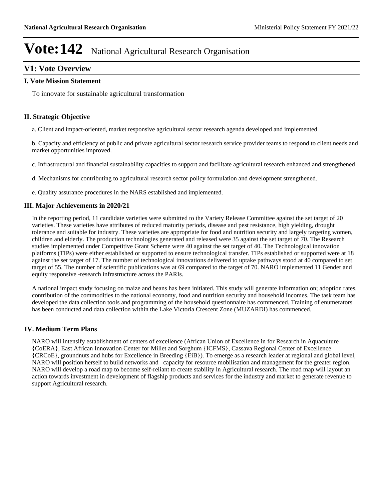### **V1: Vote Overview**

#### **I. Vote Mission Statement**

To innovate for sustainable agricultural transformation

### **II. Strategic Objective**

a. Client and impact-oriented, market responsive agricultural sector research agenda developed and implemented

b. Capacity and efficiency of public and private agricultural sector research service provider teams to respond to client needs and market opportunities improved.

c. Infrastructural and financial sustainability capacities to support and facilitate agricultural research enhanced and strengthened

d. Mechanisms for contributing to agricultural research sector policy formulation and development strengthened.

e. Quality assurance procedures in the NARS established and implemented.

### **III. Major Achievements in 2020/21**

In the reporting period, 11 candidate varieties were submitted to the Variety Release Committee against the set target of 20 varieties. These varieties have attributes of reduced maturity periods, disease and pest resistance, high yielding, drought tolerance and suitable for industry. These varieties are appropriate for food and nutrition security and largely targeting women, children and elderly. The production technologies generated and released were 35 against the set target of 70. The Research studies implemented under Competitive Grant Scheme were 40 against the set target of 40. The Technological innovation platforms (TIPs) were either established or supported to ensure technological transfer. TIPs established or supported were at 18 against the set target of 17. The number of technological innovations delivered to uptake pathways stood at 40 compared to set target of 55. The number of scientific publications was at 69 compared to the target of 70. NARO implemented 11 Gender and equity responsive -research infrastructure across the PARIs.

A national impact study focusing on maize and beans has been initiated. This study will generate information on; adoption rates, contribution of the commodities to the national economy, food and nutrition security and household incomes. The task team has developed the data collection tools and programming of the household questionnaire has commenced. Training of enumerators has been conducted and data collection within the Lake Victoria Crescent Zone (MUZARDI) has commenced.

### **IV. Medium Term Plans**

NARO will intensify establishment of centers of excellence (African Union of Excellence in for Research in Aquaculture {CoERA}, East African Innovation Center for Millet and Sorghum {ICFMS}, Cassava Regional Center of Excellence {CRCoE}, groundnuts and hubs for Excellence in Breeding {EiB}). To emerge as a research leader at regional and global level, NARO will position herself to build networks and capacity for resource mobilisation and management for the greater region. NARO will develop a road map to become self-reliant to create stability in Agricultural research. The road map will layout an action towards investment in development of flagship products and services for the industry and market to generate revenue to support Agricultural research.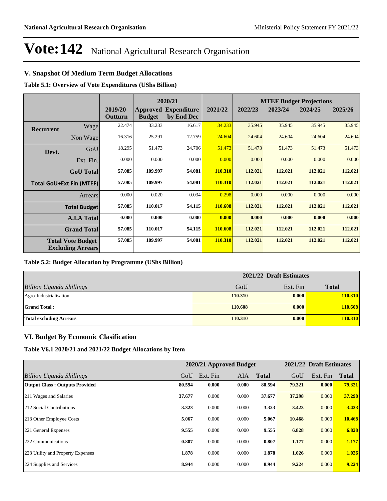### **V. Snapshot Of Medium Term Budget Allocations**

**Table 5.1: Overview of Vote Expenditures (UShs Billion)**

|                  |                                                      |                    |               | 2020/21                                   |         |         |         | <b>MTEF Budget Projections</b> |         |
|------------------|------------------------------------------------------|--------------------|---------------|-------------------------------------------|---------|---------|---------|--------------------------------|---------|
|                  |                                                      | 2019/20<br>Outturn | <b>Budget</b> | <b>Approved Expenditure</b><br>by End Dec | 2021/22 | 2022/23 | 2023/24 | 2024/25                        | 2025/26 |
| <b>Recurrent</b> | Wage                                                 | 22.474             | 33.233        | 16.617                                    | 34.233  | 35.945  | 35.945  | 35.945                         | 35.945  |
|                  | Non Wage                                             | 16.316             | 25.291        | 12.759                                    | 24.604  | 24.604  | 24.604  | 24.604                         | 24.604  |
| Devt.            | GoU                                                  | 18.295             | 51.473        | 24.706                                    | 51.473  | 51.473  | 51.473  | 51.473                         | 51.473  |
|                  | Ext. Fin.                                            | 0.000              | 0.000         | 0.000                                     | 0.000   | 0.000   | 0.000   | 0.000                          | 0.000   |
|                  | <b>GoU</b> Total                                     | 57.085             | 109.997       | 54.081                                    | 110.310 | 112.021 | 112.021 | 112.021                        | 112.021 |
|                  | <b>Total GoU+Ext Fin (MTEF)</b>                      | 57.085             | 109.997       | 54.081                                    | 110.310 | 112.021 | 112.021 | 112.021                        | 112.021 |
|                  | Arrears                                              | 0.000              | 0.020         | 0.034                                     | 0.298   | 0.000   | 0.000   | 0.000                          | 0.000   |
|                  | <b>Total Budget</b>                                  | 57.085             | 110.017       | 54.115                                    | 110.608 | 112.021 | 112.021 | 112.021                        | 112.021 |
|                  | <b>A.I.A Total</b>                                   | 0.000              | 0.000         | 0.000                                     | 0.000   | 0.000   | 0.000   | 0.000                          | 0.000   |
|                  | <b>Grand Total</b>                                   | 57.085             | 110.017       | 54.115                                    | 110.608 | 112.021 | 112.021 | 112.021                        | 112.021 |
|                  | <b>Total Vote Budget</b><br><b>Excluding Arrears</b> | 57.085             | 109.997       | 54.081                                    | 110.310 | 112.021 | 112.021 | 112.021                        | 112.021 |

#### **Table 5.2: Budget Allocation by Programme (UShs Billion)**

|                                 | 2021/22 Draft Estimates |          |              |  |  |
|---------------------------------|-------------------------|----------|--------------|--|--|
| <b>Billion Uganda Shillings</b> | GoU                     | Ext. Fin | <b>Total</b> |  |  |
| Agro-Industrialisation          | 110.310                 | 0.000    | 110.310      |  |  |
| <b>Grand Total:</b>             | 110.608                 | 0.000    | 110.608      |  |  |
| <b>Total excluding Arrears</b>  | 110.310                 | 0.000    | 110.310      |  |  |

### **VI. Budget By Economic Clasification**

**Table V6.1 2020/21 and 2021/22 Budget Allocations by Item**

|                                       |        | 2020/21 Approved Budget |            |              |        | 2021/22 Draft Estimates |              |
|---------------------------------------|--------|-------------------------|------------|--------------|--------|-------------------------|--------------|
| Billion Uganda Shillings              | GoU    | Ext. Fin                | <b>AIA</b> | <b>Total</b> | GoU    | Ext. Fin                | <b>Total</b> |
| <b>Output Class: Outputs Provided</b> | 80.594 | 0.000                   | 0.000      | 80.594       | 79.321 | 0.000                   | 79.321       |
| 211 Wages and Salaries                | 37.677 | 0.000                   | 0.000      | 37.677       | 37.298 | 0.000                   | 37.298       |
| 212 Social Contributions              | 3.323  | 0.000                   | 0.000      | 3.323        | 3.423  | 0.000                   | 3.423        |
| 213 Other Employee Costs              | 5.067  | 0.000                   | 0.000      | 5.067        | 10.468 | 0.000                   | 10.468       |
| 221 General Expenses                  | 9.555  | 0.000                   | 0.000      | 9.555        | 6.828  | 0.000                   | 6.828        |
| 222 Communications                    | 0.807  | 0.000                   | 0.000      | 0.807        | 1.177  | 0.000                   | 1.177        |
| 223 Utility and Property Expenses     | 1.878  | 0.000                   | 0.000      | 1.878        | 1.026  | 0.000                   | 1.026        |
| 224 Supplies and Services             | 8.944  | 0.000                   | 0.000      | 8.944        | 9.224  | 0.000                   | 9.224        |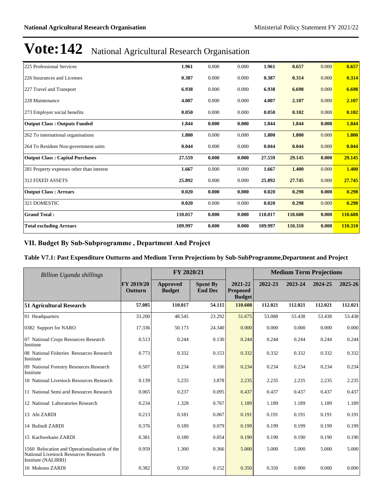| 225 Professional Services                 | 1.961   | 0.000 | 0.000 | 1.961   | 0.657   | 0.000 | 0.657   |
|-------------------------------------------|---------|-------|-------|---------|---------|-------|---------|
| 226 Insurances and Licenses               | 0.387   | 0.000 | 0.000 | 0.387   | 0.314   | 0.000 | 0.314   |
| 227 Travel and Transport                  | 6.938   | 0.000 | 0.000 | 6.938   | 6.698   | 0.000 | 6.698   |
| 228 Maintenance                           | 4.007   | 0.000 | 0.000 | 4.007   | 2.107   | 0.000 | 2.107   |
| 273 Employer social benefits              | 0.050   | 0.000 | 0.000 | 0.050   | 0.102   | 0.000 | 0.102   |
| <b>Output Class: Outputs Funded</b>       | 1.844   | 0.000 | 0.000 | 1.844   | 1.844   | 0.000 | 1.844   |
| 262 To international organisations        | 1.800   | 0.000 | 0.000 | 1.800   | 1.800   | 0.000 | 1.800   |
| 264 To Resident Non-government units      | 0.044   | 0.000 | 0.000 | 0.044   | 0.044   | 0.000 | 0.044   |
| <b>Output Class: Capital Purchases</b>    | 27.559  | 0.000 | 0.000 | 27.559  | 29.145  | 0.000 | 29.145  |
| 281 Property expenses other than interest | 1.667   | 0.000 | 0.000 | 1.667   | 1.400   | 0.000 | 1.400   |
| <b>312 FIXED ASSETS</b>                   | 25.892  | 0.000 | 0.000 | 25.892  | 27.745  | 0.000 | 27.745  |
| <b>Output Class: Arrears</b>              | 0.020   | 0.000 | 0.000 | 0.020   | 0.298   | 0.000 | 0.298   |
| 321 DOMESTIC                              | 0.020   | 0.000 | 0.000 | 0.020   | 0.298   | 0.000 | 0.298   |
| <b>Grand Total:</b>                       | 110.017 | 0.000 | 0.000 | 110.017 | 110.608 | 0.000 | 110.608 |
| <b>Total excluding Arrears</b>            | 109.997 | 0.000 | 0.000 | 109.997 | 110.310 | 0.000 | 110.310 |

### VII. Budget By Sub-Subprogramme, Department And Project

### **Table V7.1: Past Expenditure Outturns and Medium Term Projections by Sub-SubProgramme,Department and Project**

| Billion Uganda shillings                                                                                      |                              | FY 2020/21                |                                   |                                             |         | <b>Medium Term Projections</b> |         |         |
|---------------------------------------------------------------------------------------------------------------|------------------------------|---------------------------|-----------------------------------|---------------------------------------------|---------|--------------------------------|---------|---------|
|                                                                                                               | <b>FY 2019/20</b><br>Outturn | Approved<br><b>Budget</b> | <b>Spent By</b><br><b>End Dec</b> | 2021-22<br><b>Proposed</b><br><b>Budget</b> | 2022-23 | 2023-24                        | 2024-25 | 2025-26 |
| <b>51 Agricultural Research</b>                                                                               | 57.085                       | 110.017                   | 54.115                            | 110.608                                     | 112.021 | 112.021                        | 112.021 | 112.021 |
| 01 Headquarters                                                                                               | 33.200                       | 48.545                    | 23.292                            | 51.675                                      | 53.088  | 53.438                         | 53.438  | 53.438  |
| 0382 Support for NARO                                                                                         | 17.336                       | 50.173                    | 24.340                            | 0.000                                       | 0.000   | 0.000                          | 0.000   | 0.000   |
| 07 National Crops Resources Research<br>Institute                                                             | 0.513                        | 0.244                     | 0.130                             | 0.244                                       | 0.244   | 0.244                          | 0.244   | 0.244   |
| 08 National Fisheries Resources Research<br>Institute                                                         | 0.773                        | 0.332                     | 0.153                             | 0.332                                       | 0.332   | 0.332                          | 0.332   | 0.332   |
| 09 National Forestry Resources Research<br>Institute                                                          | 0.507                        | 0.234                     | 0.106                             | 0.234                                       | 0.234   | 0.234                          | 0.234   | 0.234   |
| 10 National Livestock Resources Research                                                                      | 0.139                        | 5.235                     | 3.878                             | 2.235                                       | 2.235   | 2.235                          | 2.235   | 2.235   |
| 11 National Semi arid Resources Research                                                                      | 0.065                        | 0.237                     | 0.095                             | 0.437                                       | 0.437   | 0.437                          | 0.437   | 0.437   |
| 12 National Laboratories Research                                                                             | 0.234                        | 1.328                     | 0.767                             | 1.189                                       | 1.189   | 1.189                          | 1.189   | 1.189   |
| 13 Abi ZARDI                                                                                                  | 0.213                        | 0.181                     | 0.067                             | 0.191                                       | 0.191   | 0.191                          | 0.191   | 0.191   |
| 14 Bulindi ZARDI                                                                                              | 0.376                        | 0.189                     | 0.079                             | 0.199                                       | 0.199   | 0.199                          | 0.199   | 0.199   |
| 15 Kachwekano ZARDI                                                                                           | 0.381                        | 0.180                     | 0.054                             | 0.190                                       | 0.190   | 0.190                          | 0.190   | 0.190   |
| 1560 Relocation and Operationalisation of the<br>National Livestock Resources Research<br>Institute (NALIRRI) | 0.959                        | 1.300                     | 0.366                             | 5.000                                       | 5.000   | 5.000                          | 5.000   | 5.000   |
| 16 Mukono ZARDI                                                                                               | 0.382                        | 0.350                     | 0.152                             | 0.350                                       | 0.350   | 0.000                          | 0.000   | 0.000   |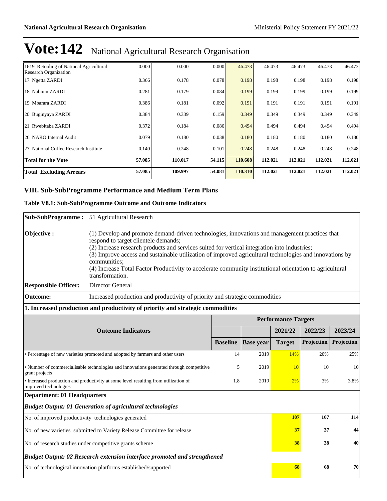| 1619 Retooling of National Agricultural<br><b>Research Organization</b> | 0.000  | 0.000   | 0.000  | 46.473  | 46.473  | 46.473  | 46.473  | 46.473  |
|-------------------------------------------------------------------------|--------|---------|--------|---------|---------|---------|---------|---------|
| 17 Ngetta ZARDI                                                         | 0.366  | 0.178   | 0.078  | 0.198   | 0.198   | 0.198   | 0.198   | 0.198   |
| 18 Nabium ZARDI                                                         | 0.281  | 0.179   | 0.084  | 0.199   | 0.199   | 0.199   | 0.199   | 0.199   |
| 19 Mbarara ZARDI                                                        | 0.386  | 0.181   | 0.092  | 0.191   | 0.191   | 0.191   | 0.191   | 0.191   |
| 20 Buginyaya ZARDI                                                      | 0.384  | 0.339   | 0.159  | 0.349   | 0.349   | 0.349   | 0.349   | 0.349   |
| 21 Rwebitaba ZARDI                                                      | 0.372  | 0.184   | 0.086  | 0.494   | 0.494   | 0.494   | 0.494   | 0.494   |
| 26 NARO Internal Audit                                                  | 0.079  | 0.180   | 0.038  | 0.180   | 0.180   | 0.180   | 0.180   | 0.180   |
| 27 National Coffee Research Institute                                   | 0.140  | 0.248   | 0.101  | 0.248   | 0.248   | 0.248   | 0.248   | 0.248   |
| <b>Total for the Vote</b>                                               | 57.085 | 110.017 | 54.115 | 110.608 | 112.021 | 112.021 | 112.021 | 112.021 |
| <b>Total Excluding Arrears</b>                                          | 57.085 | 109.997 | 54.081 | 110.310 | 112.021 | 112.021 | 112.021 | 112.021 |

### VIII. Sub-SubProgramme Performance and Medium Term Plans

#### **Table V8.1: Sub-SubProgramme Outcome and Outcome Indicators**

| Sub-SubProgramme: 51 Agricultural Research<br>(1) Develop and promote demand-driven technologies, innovations and management practices that                             |                 |                                                                                                                                                            |               |                                                                                        |                                                                                                                                                                                                                                                   |
|-------------------------------------------------------------------------------------------------------------------------------------------------------------------------|-----------------|------------------------------------------------------------------------------------------------------------------------------------------------------------|---------------|----------------------------------------------------------------------------------------|---------------------------------------------------------------------------------------------------------------------------------------------------------------------------------------------------------------------------------------------------|
|                                                                                                                                                                         |                 |                                                                                                                                                            |               |                                                                                        |                                                                                                                                                                                                                                                   |
| respond to target clientele demands;<br>(2) Increase research products and services suited for vertical integration into industries;<br>communities;<br>transformation. |                 |                                                                                                                                                            |               |                                                                                        |                                                                                                                                                                                                                                                   |
| Director General                                                                                                                                                        |                 |                                                                                                                                                            |               |                                                                                        |                                                                                                                                                                                                                                                   |
|                                                                                                                                                                         |                 |                                                                                                                                                            |               |                                                                                        |                                                                                                                                                                                                                                                   |
|                                                                                                                                                                         |                 |                                                                                                                                                            |               |                                                                                        |                                                                                                                                                                                                                                                   |
|                                                                                                                                                                         |                 |                                                                                                                                                            |               |                                                                                        |                                                                                                                                                                                                                                                   |
| <b>Outcome Indicators</b>                                                                                                                                               |                 |                                                                                                                                                            |               | 2022/23                                                                                | 2023/24                                                                                                                                                                                                                                           |
|                                                                                                                                                                         | <b>Baseline</b> | <b>Base</b> year                                                                                                                                           | <b>Target</b> | Projection                                                                             | Projection                                                                                                                                                                                                                                        |
| • Percentage of new varieties promoted and adopted by farmers and other users                                                                                           | 14              | 2019                                                                                                                                                       | 14%           | 20%                                                                                    | 25%                                                                                                                                                                                                                                               |
| • Number of commercialisable technologies and innovations generated through competitive                                                                                 | 5               | 2019                                                                                                                                                       | 10            | 10                                                                                     | 10                                                                                                                                                                                                                                                |
| • Increased production and productivity at some level resulting from utilization of                                                                                     | 1.8             | 2019                                                                                                                                                       | 2%            | 3%                                                                                     | 3.8%                                                                                                                                                                                                                                              |
| <b>Department: 01 Headquarters</b>                                                                                                                                      |                 |                                                                                                                                                            |               |                                                                                        |                                                                                                                                                                                                                                                   |
| <b>Budget Output: 01 Generation of agricultural technologies</b>                                                                                                        |                 |                                                                                                                                                            |               |                                                                                        |                                                                                                                                                                                                                                                   |
| No. of improved productivity technologies generated                                                                                                                     |                 |                                                                                                                                                            | 107           | 107                                                                                    | 114                                                                                                                                                                                                                                               |
| No. of new varieties submitted to Variety Release Committee for release                                                                                                 |                 |                                                                                                                                                            | 37            | 37                                                                                     | 44                                                                                                                                                                                                                                                |
| 38<br>38<br>No. of research studies under competitive grants scheme                                                                                                     |                 |                                                                                                                                                            |               |                                                                                        | 40                                                                                                                                                                                                                                                |
|                                                                                                                                                                         |                 |                                                                                                                                                            |               |                                                                                        |                                                                                                                                                                                                                                                   |
| No. of technological innovation platforms established/supported                                                                                                         |                 |                                                                                                                                                            | 68            | 68                                                                                     | 70                                                                                                                                                                                                                                                |
|                                                                                                                                                                         |                 | 1. Increased production and productivity of priority and strategic commodities<br>Budget Output: 02 Research extension interface promoted and strengthened |               | Increased production and productivity of priority and strategic commodities<br>2021/22 | (3) Improve access and sustainable utilization of improved agricultural technologies and innovations by<br>(4) Increase Total Factor Productivity to accelerate community institutional orientation to agricultural<br><b>Performance Targets</b> |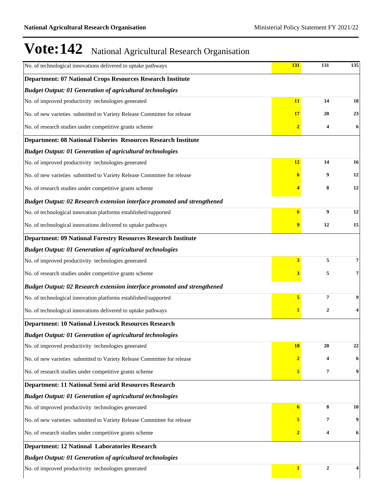| No. of technological innovations delivered to uptake pathways            | 131                     | 131                     | 135 |
|--------------------------------------------------------------------------|-------------------------|-------------------------|-----|
| <b>Department: 07 National Crops Resources Research Institute</b>        |                         |                         |     |
| <b>Budget Output: 01 Generation of agricultural technologies</b>         |                         |                         |     |
| No. of improved productivity technologies generated                      | 11                      | 14                      | 18  |
| No. of new varieties submitted to Variety Release Committee for release  | <b>17</b>               | 20                      | 23  |
| No. of research studies under competitive grants scheme                  | $\overline{2}$          | 4                       | 6   |
| Department: 08 National Fisheries Resources Research Institute           |                         |                         |     |
| <b>Budget Output: 01 Generation of agricultural technologies</b>         |                         |                         |     |
| No. of improved productivity technologies generated                      | 12                      | 14                      | 16  |
| No. of new varieties submitted to Variety Release Committee for release  | 6                       | 9                       | 12  |
| No. of research studies under competitive grants scheme                  |                         | 8                       | 12  |
| Budget Output: 02 Research extension interface promoted and strengthened |                         |                         |     |
| No. of technological innovation platforms established/supported          | $\overline{6}$          | 9                       | 12  |
| No. of technological innovations delivered to uptake pathways            |                         | 12                      | 15  |
| <b>Department: 09 National Forestry Resources Research Institute</b>     |                         |                         |     |
| <b>Budget Output: 01 Generation of agricultural technologies</b>         |                         |                         |     |
| No. of improved productivity technologies generated                      | 3                       | 5                       | 7   |
| No. of research studies under competitive grants scheme                  | 3                       | 5                       | 7   |
| Budget Output: 02 Research extension interface promoted and strengthened |                         |                         |     |
| No. of technological innovation platforms established/supported          | 5                       | $\overline{\mathbf{7}}$ | 9   |
| No. of technological innovations delivered to uptake pathways            |                         | 2                       | 4   |
| <b>Department: 10 National Livestock Resources Research</b>              |                         |                         |     |
| <b>Budget Output: 01 Generation of agricultural technologies</b>         |                         |                         |     |
| No. of improved productivity technologies generated                      | <u>18</u>               | 20                      | 22  |
| No. of new varieties submitted to Variety Release Committee for release  | $\overline{\mathbf{2}}$ | 4                       | 6   |
| No. of research studies under competitive grants scheme                  | 5                       | 7                       | 9   |
| Department: 11 National Semi arid Resources Research                     |                         |                         |     |
| <b>Budget Output: 01 Generation of agricultural technologies</b>         |                         |                         |     |
| No. of improved productivity technologies generated                      | 6                       | 8                       | 10  |
| No. of new varieties submitted to Variety Release Committee for release  | 5                       | 7                       | 9   |
| No. of research studies under competitive grants scheme                  | $\overline{\mathbf{2}}$ | 4                       | 6   |
| <b>Department: 12 National Laboratories Research</b>                     |                         |                         |     |
| <b>Budget Output: 01 Generation of agricultural technologies</b>         |                         |                         |     |
| No. of improved productivity technologies generated                      | 1                       | $\overline{2}$          |     |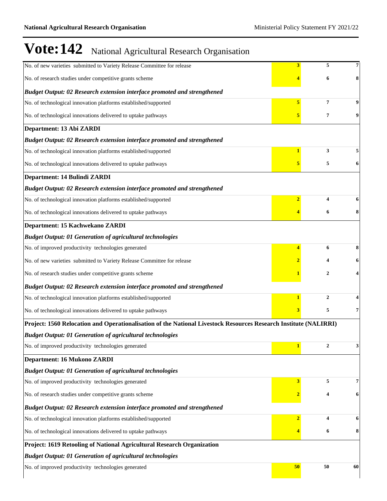|                                                                                                                  | 3              | 5                | 7  |
|------------------------------------------------------------------------------------------------------------------|----------------|------------------|----|
| No. of new varieties submitted to Variety Release Committee for release                                          |                |                  |    |
| No. of research studies under competitive grants scheme                                                          |                | 6                | 8  |
| Budget Output: 02 Research extension interface promoted and strengthened                                         |                |                  |    |
| No. of technological innovation platforms established/supported                                                  | 5              | 7                |    |
| No. of technological innovations delivered to uptake pathways                                                    |                | 7                | 9  |
| Department: 13 Abi ZARDI                                                                                         |                |                  |    |
| Budget Output: 02 Research extension interface promoted and strengthened                                         |                |                  |    |
| No. of technological innovation platforms established/supported                                                  |                | 3                |    |
| No. of technological innovations delivered to uptake pathways                                                    |                | 5                | 6  |
| Department: 14 Bulindi ZARDI                                                                                     |                |                  |    |
| Budget Output: 02 Research extension interface promoted and strengthened                                         |                |                  |    |
| No. of technological innovation platforms established/supported                                                  | $\overline{2}$ | 4                |    |
| No. of technological innovations delivered to uptake pathways                                                    |                | 6                | 8  |
| Department: 15 Kachwekano ZARDI                                                                                  |                |                  |    |
| <b>Budget Output: 01 Generation of agricultural technologies</b>                                                 |                |                  |    |
| No. of improved productivity technologies generated                                                              | 4              | 6                | 8  |
| No. of new varieties submitted to Variety Release Committee for release                                          |                |                  | 6  |
| No. of research studies under competitive grants scheme                                                          |                | $\overline{2}$   |    |
| Budget Output: 02 Research extension interface promoted and strengthened                                         |                |                  |    |
| No. of technological innovation platforms established/supported                                                  | 1              | $\mathbf{2}$     |    |
| No. of technological innovations delivered to uptake pathways                                                    | 3              | 5                | 7  |
| Project: 1560 Relocation and Operationalisation of the National Livestock Resources Research Institute (NALIRRI) |                |                  |    |
| <b>Budget Output: 01 Generation of agricultural technologies</b>                                                 |                |                  |    |
| No. of improved productivity technologies generated                                                              |                | $\boldsymbol{2}$ | 3  |
| <b>Department: 16 Mukono ZARDI</b>                                                                               |                |                  |    |
| <b>Budget Output: 01 Generation of agricultural technologies</b>                                                 |                |                  |    |
| No. of improved productivity technologies generated                                                              | 3              | 5                | 7  |
| No. of research studies under competitive grants scheme                                                          |                | 4                | 6  |
| Budget Output: 02 Research extension interface promoted and strengthened                                         |                |                  |    |
| No. of technological innovation platforms established/supported                                                  | $\overline{2}$ | 4                | 6  |
| No. of technological innovations delivered to uptake pathways                                                    |                | 6                | 8  |
| Project: 1619 Retooling of National Agricultural Research Organization                                           |                |                  |    |
| <b>Budget Output: 01 Generation of agricultural technologies</b>                                                 |                |                  |    |
| No. of improved productivity technologies generated                                                              | 50             | 50               | 60 |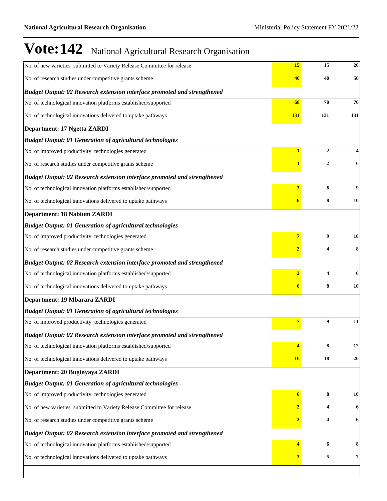$\overline{\phantom{a}}$ 

| No. of new varieties submitted to Variety Release Committee for release  | 15                      | 15                      | 20  |
|--------------------------------------------------------------------------|-------------------------|-------------------------|-----|
| No. of research studies under competitive grants scheme                  | 40                      | 40                      | 50  |
| Budget Output: 02 Research extension interface promoted and strengthened |                         |                         |     |
| No. of technological innovation platforms established/supported          | 68                      | 70                      | 70  |
| No. of technological innovations delivered to uptake pathways            | 131                     | 131                     | 131 |
| Department: 17 Ngetta ZARDI                                              |                         |                         |     |
| <b>Budget Output: 01 Generation of agricultural technologies</b>         |                         |                         |     |
| No. of improved productivity technologies generated                      | $\mathbf{1}$            | $\overline{2}$          |     |
| No. of research studies under competitive grants scheme                  |                         | $\mathbf{2}$            | 6   |
| Budget Output: 02 Research extension interface promoted and strengthened |                         |                         |     |
| No. of technological innovation platforms established/supported          | 3                       | 6                       | 9   |
| No. of technological innovations delivered to uptake pathways            | 6                       | 8                       | 10  |
| <b>Department: 18 Nabium ZARDI</b>                                       |                         |                         |     |
| <b>Budget Output: 01 Generation of agricultural technologies</b>         |                         |                         |     |
| No. of improved productivity technologies generated                      | 7                       | 9                       | 10  |
| No. of research studies under competitive grants scheme                  | $\overline{\mathbf{2}}$ | 4                       | 8   |
| Budget Output: 02 Research extension interface promoted and strengthened |                         |                         |     |
| No. of technological innovation platforms established/supported          | $\overline{2}$          | $\overline{\mathbf{4}}$ | 6   |
| No. of technological innovations delivered to uptake pathways            | 6                       | 8                       | 10  |
| Department: 19 Mbarara ZARDI                                             |                         |                         |     |
| <b>Budget Output: 01 Generation of agricultural technologies</b>         |                         |                         |     |
| No. of improved productivity technologies generated                      |                         | 9                       | 11  |
| Budget Output: 02 Research extension interface promoted and strengthened |                         |                         |     |
| No. of technological innovation platforms established/supported          |                         | 8                       | 12  |
| No. of technological innovations delivered to uptake pathways            | <b>16</b>               | 18                      | 20  |
| Department: 20 Buginyaya ZARDI                                           |                         |                         |     |
| <b>Budget Output: 01 Generation of agricultural technologies</b>         |                         |                         |     |
| No. of improved productivity technologies generated                      | $6\phantom{.}6$         | 8                       | 10  |
| No. of new varieties submitted to Variety Release Committee for release  |                         |                         | 6   |
| No. of research studies under competitive grants scheme                  | $\overline{\mathbf{2}}$ | 4                       | 6   |
| Budget Output: 02 Research extension interface promoted and strengthened |                         |                         |     |
| No. of technological innovation platforms established/supported          |                         | 6                       | 8   |
| No. of technological innovations delivered to uptake pathways            |                         | 5                       | 7   |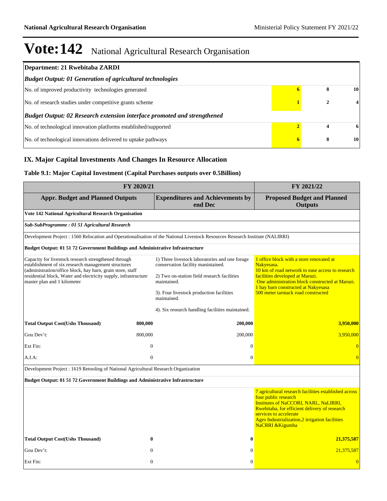| Department: 21 Rwebitaba ZARDI                                           |   |   |    |
|--------------------------------------------------------------------------|---|---|----|
| <b>Budget Output: 01 Generation of agricultural technologies</b>         |   |   |    |
| No. of improved productivity technologies generated                      |   | 8 | 10 |
| No. of research studies under competitive grants scheme                  |   |   | 4  |
| Budget Output: 02 Research extension interface promoted and strengthened |   |   |    |
| No. of technological innovation platforms established/supported          |   |   | 6  |
| No. of technological innovations delivered to uptake pathways            | 6 | 8 | 10 |

### **IX. Major Capital Investments And Changes In Resource Allocation**

### **Table 9.1: Major Capital Investment (Capital Purchases outputs over 0.5Billion)**

| FY 2020/21                                                                                                                                                                                                                                                                  | FY 2021/22                                                                                                                                         |                                                                                                                                                                                                                                                                         |
|-----------------------------------------------------------------------------------------------------------------------------------------------------------------------------------------------------------------------------------------------------------------------------|----------------------------------------------------------------------------------------------------------------------------------------------------|-------------------------------------------------------------------------------------------------------------------------------------------------------------------------------------------------------------------------------------------------------------------------|
| <b>Appr. Budget and Planned Outputs</b>                                                                                                                                                                                                                                     | <b>Expenditures and Achievements by</b><br>end Dec                                                                                                 | <b>Proposed Budget and Planned</b><br><b>Outputs</b>                                                                                                                                                                                                                    |
| Vote 142 National Agricultural Research Organisation                                                                                                                                                                                                                        |                                                                                                                                                    |                                                                                                                                                                                                                                                                         |
| Sub-SubProgramme: 01 51 Agricultural Research                                                                                                                                                                                                                               |                                                                                                                                                    |                                                                                                                                                                                                                                                                         |
| Development Project : 1560 Relocation and Operationalisation of the National Livestock Resources Research Institute (NALIRRI)                                                                                                                                               |                                                                                                                                                    |                                                                                                                                                                                                                                                                         |
| Budget Output: 01 51 72 Government Buildings and Administrative Infrastructure                                                                                                                                                                                              |                                                                                                                                                    |                                                                                                                                                                                                                                                                         |
| Capacity for livestock research strengthened through<br>establishment of six research management structures<br>(administration/office block, hay barn, grain store, staff<br>residential block, Water and electricity supply, infrastructure<br>master plan and 1 kilometer | 1) Three livestock laboratories and one forage<br>conservation facility manintained.<br>2) Two on-station field research facilities<br>maintained. | 1 office block with a store renovated at<br>Nakvesasa.<br>10 km of road network to ease access to research<br>facilities developed at Maruzi.<br>One administration block constructed at Maruzi.                                                                        |
|                                                                                                                                                                                                                                                                             | 3). Four livestock production facilities<br>maintained.                                                                                            | 1 hay barn constructed at Nakyesasa<br>500 meter tarmack road constructed                                                                                                                                                                                               |
|                                                                                                                                                                                                                                                                             | 4). Six research handling facilities maintained.                                                                                                   |                                                                                                                                                                                                                                                                         |
| <b>Total Output Cost(Ushs Thousand)</b><br>800,000                                                                                                                                                                                                                          | 200,000                                                                                                                                            | 3,950,000                                                                                                                                                                                                                                                               |
| Gou Dev't:<br>800,000                                                                                                                                                                                                                                                       | 200,000                                                                                                                                            | 3,950,000                                                                                                                                                                                                                                                               |
| $\overline{0}$<br>Ext Fin:                                                                                                                                                                                                                                                  | $\theta$                                                                                                                                           | $\overline{0}$                                                                                                                                                                                                                                                          |
| $\mathbf{0}$<br>A.I.A.                                                                                                                                                                                                                                                      | $\overline{0}$                                                                                                                                     | $\overline{0}$                                                                                                                                                                                                                                                          |
| Development Project : 1619 Retooling of National Agricultural Research Organization                                                                                                                                                                                         |                                                                                                                                                    |                                                                                                                                                                                                                                                                         |
| <b>Budget Output: 01 51 72 Government Buildings and Administrative Infrastructure</b>                                                                                                                                                                                       |                                                                                                                                                    |                                                                                                                                                                                                                                                                         |
|                                                                                                                                                                                                                                                                             |                                                                                                                                                    | 7 agricultural research facilities established across<br>four public research<br>Institutes of NaCCORI, NARL, NaLIRRI,<br>Rwebitaba, for efficient delivery of research<br>services to accelerate<br>Agro Industrialization,2 irrigation facilities<br>NaCRRI & Kigumba |
| <b>Total Output Cost(Ushs Thousand)</b><br>$\bf{0}$                                                                                                                                                                                                                         | $\bf{0}$                                                                                                                                           | 21,375,587                                                                                                                                                                                                                                                              |
| Gou Dev't:<br>$\theta$                                                                                                                                                                                                                                                      | $\mathbf{0}$                                                                                                                                       | 21,375,587                                                                                                                                                                                                                                                              |
| Ext Fin:<br>$\Omega$                                                                                                                                                                                                                                                        | $\theta$                                                                                                                                           | $\overline{0}$                                                                                                                                                                                                                                                          |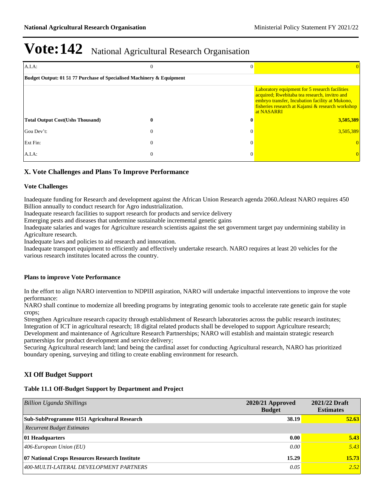| $A.I.A$ :                                                             | 0        |              |                                                                                                                                                                                                                              |  |  |  |
|-----------------------------------------------------------------------|----------|--------------|------------------------------------------------------------------------------------------------------------------------------------------------------------------------------------------------------------------------------|--|--|--|
| Budget Output: 01 51 77 Purchase of Specialised Machinery & Equipment |          |              |                                                                                                                                                                                                                              |  |  |  |
|                                                                       |          |              | <b>Laboratory equipment for 5 research facilities</b><br>acquired; Rwebitaba tea research, invitro and<br>embryo transfer, Incubation facility at Mukono,<br>fisheries research at Kajansi & research workshop<br>at NASARRI |  |  |  |
| <b>Total Output Cost(Ushs Thousand)</b>                               | 0        | $\mathbf{0}$ | 3,505,389                                                                                                                                                                                                                    |  |  |  |
| Gou Dev't:                                                            | $\theta$ | $\Omega$     | 3,505,389                                                                                                                                                                                                                    |  |  |  |
| Ext Fin:                                                              | $\theta$ | $\Omega$     |                                                                                                                                                                                                                              |  |  |  |
| $A.I.A$ :                                                             | $\theta$ | 0            | $\theta$                                                                                                                                                                                                                     |  |  |  |

### **X. Vote Challenges and Plans To Improve Performance**

#### **Vote Challenges**

Inadequate funding for Research and development against the African Union Research agenda 2060.Atleast NARO requires 450 Billion annually to conduct research for Agro industrialization.

Inadequate research facilities to support research for products and service delivery

Emerging pests and diseases that undermine sustainable incremental genetic gains

Inadequate salaries and wages for Agriculture research scientists against the set government target pay undermining stability in Agriculture research.

Inadequate laws and policies to aid research and innovation.

Inadequate transport equipment to efficiently and effectively undertake research. NARO requires at least 20 vehicles for the various research institutes located across the country.

#### **Plans to improve Vote Performance**

In the effort to align NARO intervention to NDPIII aspiration, NARO will undertake impactful interventions to improve the vote performance:

NARO shall continue to modernize all breeding programs by integrating genomic tools to accelerate rate genetic gain for staple crops;

Strengthen Agriculture research capacity through establishment of Research laboratories across the public research institutes; Integration of ICT in agricultural research; 18 digital related products shall be developed to support Agriculture research; Development and maintenance of Agriculture Research Partnerships; NARO will establish and maintain strategic research partnerships for product development and service delivery;

Securing Agricultural research land; land being the cardinal asset for conducting Agricultural research, NARO has prioritized boundary opening, surveying and titling to create enabling environment for research.

### **XI Off Budget Support**

#### **Table 11.1 Off-Budget Support by Department and Project**

| <b>Billion Uganda Shillings</b>                | $2020/21$ Approved<br><b>Budget</b> | 2021/22 Draft<br><b>Estimates</b> |
|------------------------------------------------|-------------------------------------|-----------------------------------|
| Sub-SubProgramme 0151 Agricultural Research    | 38.19                               | 52.63                             |
| <b>Recurrent Budget Estimates</b>              |                                     |                                   |
| 01 Headquarters                                | 0.00                                | 5.43                              |
| $ 406$ -European Union (EU)                    | 0.00                                | 5.43                              |
| 07 National Crops Resources Research Institute | 15.29                               | 15.73                             |
| 400-MULTI-LATERAL DEVELOPMENT PARTNERS         | 0.05                                | 2.52                              |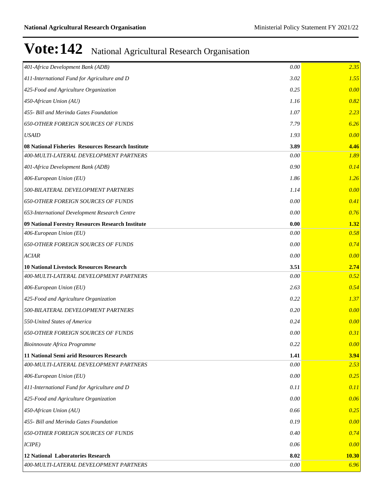| 401-Africa Development Bank (ADB)<br>0.00                  | 2.35         |
|------------------------------------------------------------|--------------|
| 411-International Fund for Agriculture and D<br>3.02       | 1.55         |
| 425-Food and Agriculture Organization<br>0.25              | 0.00         |
| 450-African Union (AU)<br>1.16                             | 0.82         |
| 455- Bill and Merinda Gates Foundation<br>1.07             | 2.23         |
| <b>650-OTHER FOREIGN SOURCES OF FUNDS</b><br>7.79          | 6.26         |
| <b>USAID</b><br>1.93                                       | 0.00         |
| 08 National Fisheries Resources Research Institute<br>3.89 | 4.46         |
| 400-MULTI-LATERAL DEVELOPMENT PARTNERS<br>0.00             | 1.89         |
| 401-Africa Development Bank (ADB)<br>0.90                  | 0.14         |
| 406-European Union (EU)<br>1.86                            | 1.26         |
| 500-BILATERAL DEVELOPMENT PARTNERS<br>1.14                 | 0.00         |
| <b>650-OTHER FOREIGN SOURCES OF FUNDS</b><br>0.00          | 0.41         |
| 0.00<br>653-International Development Research Centre      | 0.76         |
| 0.00<br>09 National Forestry Resources Research Institute  | 1.32         |
| 406-European Union (EU)<br>0.00                            | 0.58         |
| <b>650-OTHER FOREIGN SOURCES OF FUNDS</b><br>0.00          | 0.74         |
| <b>ACIAR</b><br>0.00                                       | 0.00         |
| <b>10 National Livestock Resources Research</b><br>3.51    | 2.74         |
| 400-MULTI-LATERAL DEVELOPMENT PARTNERS<br>0.00             | 0.52         |
| 406-European Union (EU)<br>2.63                            | 0.54         |
| 0.22<br>425-Food and Agriculture Organization              | 1.37         |
| 0.20<br>500-BILATERAL DEVELOPMENT PARTNERS                 | 0.00         |
| 0.24<br>550-United States of America                       | 0.00         |
| <b>650-OTHER FOREIGN SOURCES OF FUNDS</b><br>0.00          | 0.31         |
| 0.22<br>Bioinnovate Africa Programme                       | 0.00         |
| 11 National Semi arid Resources Research<br>1.41           | 3.94         |
| 400-MULTI-LATERAL DEVELOPMENT PARTNERS<br>0.00             | 2.53         |
| 406-European Union (EU)<br>0.00                            | 0.25         |
| 411-International Fund for Agriculture and D<br>0.11       | 0.11         |
| 425-Food and Agriculture Organization<br>0.00              | 0.06         |
| 450-African Union (AU)<br>0.66                             | 0.25         |
| 0.19<br>455- Bill and Merinda Gates Foundation             | 0.00         |
| <b>650-OTHER FOREIGN SOURCES OF FUNDS</b><br>0.40          | 0.74         |
| ICIPE)<br>0.06                                             | 0.00         |
| <b>12 National Laboratories Research</b><br>8.02           | <b>10.30</b> |
| 400-MULTI-LATERAL DEVELOPMENT PARTNERS<br>0.00             | 6.96         |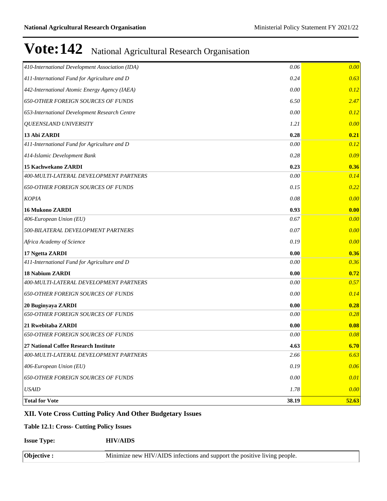| 410-International Development Association (IDA) | 0.06  | 0.00  |
|-------------------------------------------------|-------|-------|
| 411-International Fund for Agriculture and D    | 0.24  | 0.63  |
| 442-International Atomic Energy Agency (IAEA)   | 0.00  | 0.12  |
| <b>650-OTHER FOREIGN SOURCES OF FUNDS</b>       | 6.50  | 2.47  |
| 653-International Development Research Centre   | 0.00  | 0.12  |
| <b>QUEENSLAND UNIVERSITY</b>                    | 1.21  | 0.00  |
| 13 Abi ZARDI                                    | 0.28  | 0.21  |
| 411-International Fund for Agriculture and D    | 0.00  | 0.12  |
| 414-Islamic Development Bank                    | 0.28  | 0.09  |
| 15 Kachwekano ZARDI                             | 0.23  | 0.36  |
| 400-MULTI-LATERAL DEVELOPMENT PARTNERS          | 0.00  | 0.14  |
| <b>650-OTHER FOREIGN SOURCES OF FUNDS</b>       | 0.15  | 0.22  |
| <b>KOPIA</b>                                    | 0.08  | 0.00  |
| <b>16 Mukono ZARDI</b>                          | 0.93  | 0.00  |
| 406-European Union (EU)                         | 0.67  | 0.00  |
| 500-BILATERAL DEVELOPMENT PARTNERS              | 0.07  | 0.00  |
| Africa Academy of Science                       | 0.19  | 0.00  |
| 17 Ngetta ZARDI                                 | 0.00  | 0.36  |
| 411-International Fund for Agriculture and D    | 0.00  | 0.36  |
| 18 Nabium ZARDI                                 | 0.00  | 0.72  |
| 400-MULTI-LATERAL DEVELOPMENT PARTNERS          | 0.00  | 0.57  |
| <b>650-OTHER FOREIGN SOURCES OF FUNDS</b>       | 0.00  | 0.14  |
| 20 Buginyaya ZARDI                              | 0.00  | 0.28  |
| <b>650-OTHER FOREIGN SOURCES OF FUNDS</b>       | 0.00  | 0.28  |
| 21 Rwebitaba ZARDI                              | 0.00  | 0.08  |
| <b>650-OTHER FOREIGN SOURCES OF FUNDS</b>       | 0.00  | 0.08  |
| 27 National Coffee Research Institute           | 4.63  | 6.70  |
| 400-MULTI-LATERAL DEVELOPMENT PARTNERS          | 2.66  | 6.63  |
| 406-European Union (EU)                         | 0.19  | 0.06  |
| <b>650-OTHER FOREIGN SOURCES OF FUNDS</b>       | 0.00  | 0.01  |
| <b>USAID</b>                                    | 1.78  | 0.00  |
| <b>Total for Vote</b>                           | 38.19 | 52.63 |

### **XII. Vote Cross Cutting Policy And Other Budgetary Issues**

### **Table 12.1: Cross- Cutting Policy Issues**

**Issue Type: HIV/AIDS**

| $\Lambda$ hiect | Minimize new HIV/AIDS infections and support the positive living people. |
|-----------------|--------------------------------------------------------------------------|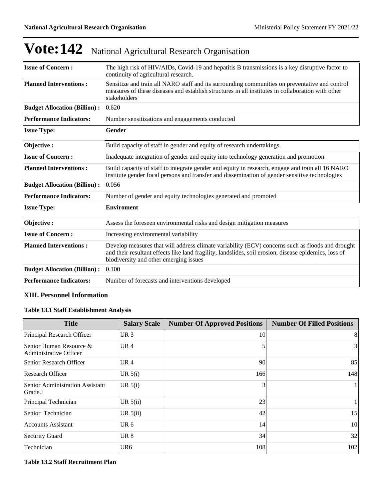| <b>Issue of Concern:</b>            | The high risk of HIV/AIDs, Covid-19 and hepatitis B transmissions is a key disruptive factor to<br>continuity of agricultural research.                                                                                                             |
|-------------------------------------|-----------------------------------------------------------------------------------------------------------------------------------------------------------------------------------------------------------------------------------------------------|
| <b>Planned Interventions:</b>       | Sensitize and train all NARO staff and its surrounding communities on preventative and control<br>measures of these diseases and establish structures in all institutes in collaboration with other<br>stakeholders                                 |
| <b>Budget Allocation (Billion):</b> | 0.620                                                                                                                                                                                                                                               |
| <b>Performance Indicators:</b>      | Number sensitizations and engagements conducted                                                                                                                                                                                                     |
| <b>Issue Type:</b>                  | <b>Gender</b>                                                                                                                                                                                                                                       |
| Objective:                          | Build capacity of staff in gender and equity of research undertakings.                                                                                                                                                                              |
| <b>Issue of Concern:</b>            | Inadequate integration of gender and equity into technology generation and promotion                                                                                                                                                                |
| <b>Planned Interventions:</b>       | Build capacity of staff to integrate gender and equity in research, engage and train all 16 NARO<br>institute gender focal persons and transfer and dissemination of gender sensitive technologies                                                  |
| <b>Budget Allocation (Billion):</b> | 0.056                                                                                                                                                                                                                                               |
| <b>Performance Indicators:</b>      | Number of gender and equity technologies generated and promoted                                                                                                                                                                                     |
| <b>Issue Type:</b>                  | <b>Enviroment</b>                                                                                                                                                                                                                                   |
| Objective:                          | Assess the foreseen environmental risks and design mitigation measures                                                                                                                                                                              |
| <b>Issue of Concern:</b>            | Increasing environmental variability                                                                                                                                                                                                                |
| <b>Planned Interventions:</b>       | Develop measures that will address climate variability (ECV) concerns such as floods and drought<br>and their resultant effects like land fragility, landslides, soil erosion, disease epidemics, loss of<br>biodiversity and other emerging issues |
| <b>Budget Allocation (Billion):</b> | 0.100                                                                                                                                                                                                                                               |
| <b>Performance Indicators:</b>      | Number of forecasts and interventions developed                                                                                                                                                                                                     |

#### **XIII. Personnel Information**

### **Table 13.1 Staff Establishment Analysis**

| <b>Title</b>                                      | <b>Salary Scale</b> | <b>Number Of Approved Positions</b> | <b>Number Of Filled Positions</b> |
|---------------------------------------------------|---------------------|-------------------------------------|-----------------------------------|
| Principal Research Officer                        | UR <sub>3</sub>     | 10                                  | 8                                 |
| Senior Human Resource &<br>Administrative Officer | UR <sub>4</sub>     |                                     | $\vert$ 3                         |
| Senior Research Officer                           | UR <sub>4</sub>     | 90                                  | 85                                |
| Research Officer                                  | UR $5(i)$           | 166                                 | 148                               |
| Senior Administration Assistant<br>Grade.I        | UR $5(i)$           | 3                                   |                                   |
| Principal Technician                              | UR $5(ii)$          | 23                                  |                                   |
| Senior Technician                                 | UR $5(ii)$          | 42                                  | 15                                |
| <b>Accounts Assistant</b>                         | UR <sub>6</sub>     | 14                                  | 10                                |
| Security Guard                                    | UR 8                | 34                                  | 32                                |
| Technician                                        | UR <sub>6</sub>     | 108                                 | 102                               |

#### **Table 13.2 Staff Recruitment Plan**